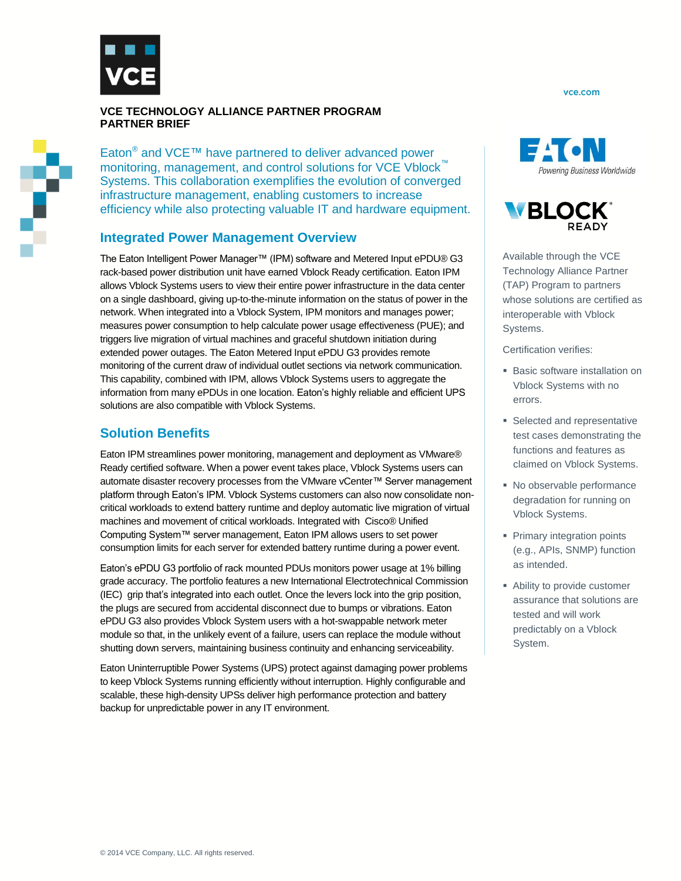

#### **VCE TECHNOLOGY ALLIANCE PARTNER PROGRAM PARTNER BRIEF**

Eaton<sup>®</sup> and VCE™ have partnered to deliver advanced power monitoring, management, and control solutions for VCE Vblock™ Systems. This collaboration exemplifies the evolution of converged infrastructure management, enabling customers to increase efficiency while also protecting valuable IT and hardware equipment.

## **Integrated Power Management Overview**

The Eaton Intelligent Power Manager™ (IPM) software and Metered Input ePDU® G3 rack-based power distribution unit have earned Vblock Ready certification. Eaton IPM allows Vblock Systems users to view their entire power infrastructure in the data center on a single dashboard, giving up-to-the-minute information on the status of power in the network. When integrated into a Vblock System, IPM monitors and manages power; measures power consumption to help calculate power usage effectiveness (PUE); and triggers live migration of virtual machines and graceful shutdown initiation during extended power outages. The Eaton Metered Input ePDU G3 provides remote monitoring of the current draw of individual outlet sections via network communication. This capability, combined with IPM, allows Vblock Systems users to aggregate the information from many ePDUs in one location. Eaton's highly reliable and efficient UPS solutions are also compatible with Vblock Systems.

# **Solution Benefits**

Eaton IPM streamlines power monitoring, management and deployment as VMware® Ready certified software. When a power event takes place, Vblock Systems users can automate disaster recovery processes from the VMware vCenter™ Server management platform through Eaton's IPM. Vblock Systems customers can also now consolidate noncritical workloads to extend battery runtime and deploy automatic live migration of virtual machines and movement of critical workloads. Integrated with Cisco® Unified Computing System™ server management, Eaton IPM allows users to set power consumption limits for each server for extended battery runtime during a power event.

Eaton's ePDU G3 portfolio of rack mounted PDUs monitors power usage at 1% billing grade accuracy. The portfolio features a new International Electrotechnical Commission (IEC) grip that's integrated into each outlet. Once the levers lock into the grip position, the plugs are secured from accidental disconnect due to bumps or vibrations. Eaton ePDU G3 also provides Vblock System users with a hot-swappable network meter module so that, in the unlikely event of a failure, users can replace the module without shutting down servers, maintaining business continuity and enhancing serviceability.

Eaton Uninterruptible Power Systems (UPS) protect against damaging power problems to keep Vblock Systems running efficiently without interruption. Highly configurable and scalable, these high-density UPSs deliver high performance protection and battery backup for unpredictable power in any IT environment.

vce.com





Available through the VCE Technology Alliance Partner (TAP) Program to partners whose solutions are certified as interoperable with Vblock Systems.

Certification verifies:

- **Basic software installation on** Vblock Systems with no errors.
- Selected and representative test cases demonstrating the functions and features as claimed on Vblock Systems.
- No observable performance degradation for running on Vblock Systems.
- **Primary integration points** (e.g., APIs, SNMP) function as intended.
- Ability to provide customer assurance that solutions are tested and will work predictably on a Vblock System.

Ŷ